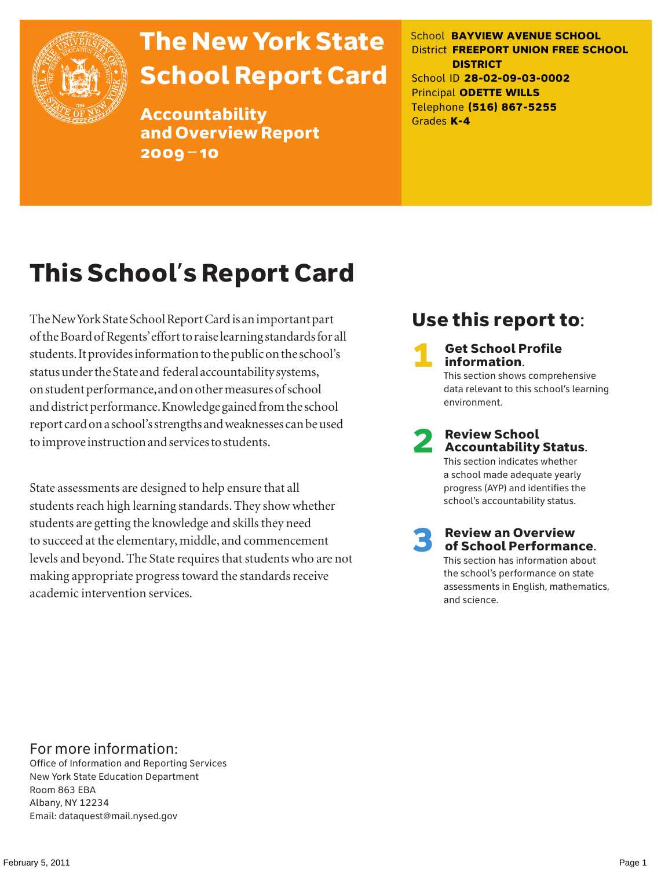

# The New York State School Report Card

Accountability and Overview Report 2009–10

School **BAYVIEW AVENUE SCHOOL** District **FREEPORT UNION FREE SCHOOL DISTRICT** School ID **28-02-09-03-0002** Principal **ODETTE WILLS** Telephone **(516) 867-5255** Grades **K-4**

# This School's Report Card

The New York State School Report Card is an important part of the Board of Regents' effort to raise learning standards for all students. It provides information to the public on the school's status under the State and federal accountability systems, on student performance, and on other measures of school and district performance. Knowledge gained from the school report card on a school's strengths and weaknesses can be used to improve instruction and services to students.

State assessments are designed to help ensure that all students reach high learning standards. They show whether students are getting the knowledge and skills they need to succeed at the elementary, middle, and commencement levels and beyond. The State requires that students who are not making appropriate progress toward the standards receive academic intervention services.

### Use this report to:

**Get School Profile** information. This section shows comprehensive data relevant to this school's learning environment.

# 2 Review School Accountability Status.

This section indicates whether a school made adequate yearly progress (AYP) and identifies the school's accountability status.

3 Review an Overview of School Performance. This section has information about

the school's performance on state assessments in English, mathematics, and science.

### For more information:

Office of Information and Reporting Services New York State Education Department Room 863 EBA Albany, NY 12234 Email: dataquest@mail.nysed.gov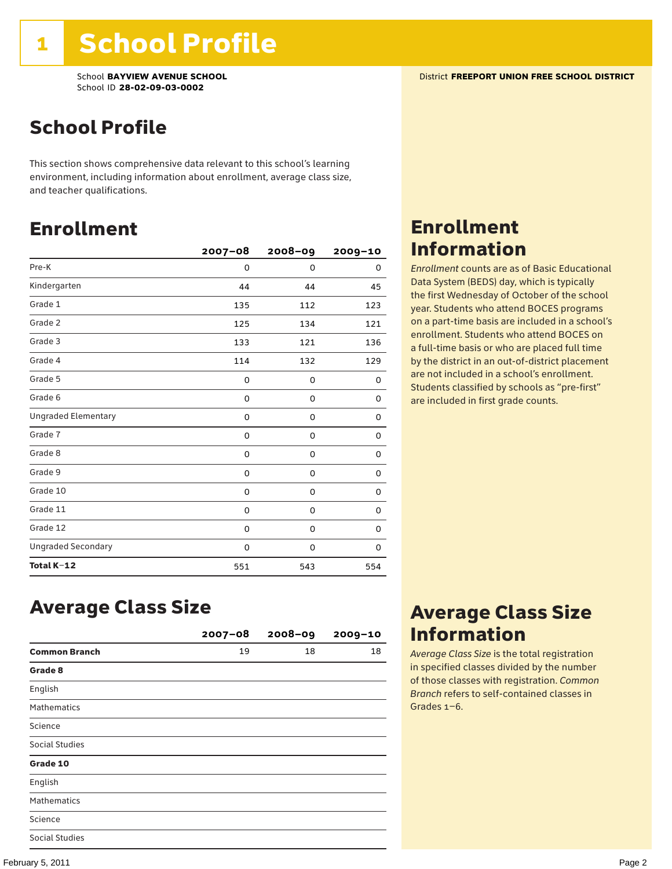### School Profile

This section shows comprehensive data relevant to this school's learning environment, including information about enrollment, average class size, and teacher qualifications.

### Enrollment

|                            | $2007 - 08$ | 2008-09  | $2009 - 10$ |
|----------------------------|-------------|----------|-------------|
| Pre-K                      | 0           | $\Omega$ | 0           |
| Kindergarten               | 44          | 44       | 45          |
| Grade 1                    | 135         | 112      | 123         |
| Grade 2                    | 125         | 134      | 121         |
| Grade 3                    | 133         | 121      | 136         |
| Grade 4                    | 114         | 132      | 129         |
| Grade 5                    | 0           | 0        | 0           |
| Grade 6                    | 0           | 0        | 0           |
| <b>Ungraded Elementary</b> | 0           | 0        | 0           |
| Grade 7                    | 0           | 0        | 0           |
| Grade 8                    | 0           | 0        | 0           |
| Grade 9                    | 0           | 0        | 0           |
| Grade 10                   | 0           | 0        | 0           |
| Grade 11                   | 0           | 0        | 0           |
| Grade 12                   | 0           | 0        | 0           |
| <b>Ungraded Secondary</b>  | 0           | 0        | 0           |
| Total K-12                 | 551         | 543      | 554         |

### Enrollment Information

*Enrollment* counts are as of Basic Educational Data System (BEDS) day, which is typically the first Wednesday of October of the school year. Students who attend BOCES programs on a part-time basis are included in a school's enrollment. Students who attend BOCES on a full-time basis or who are placed full time by the district in an out-of-district placement are not included in a school's enrollment. Students classified by schools as "pre-first" are included in first grade counts.

### Average Class Size

|                       | $2007 - 08$ | $2008 - 09$ | $2009 - 10$ |
|-----------------------|-------------|-------------|-------------|
| <b>Common Branch</b>  | 19          | 18          | 18          |
| Grade 8               |             |             |             |
| English               |             |             |             |
| <b>Mathematics</b>    |             |             |             |
| Science               |             |             |             |
| <b>Social Studies</b> |             |             |             |
| Grade 10              |             |             |             |
| English               |             |             |             |
| <b>Mathematics</b>    |             |             |             |
| Science               |             |             |             |
| <b>Social Studies</b> |             |             |             |

### Average Class Size Information

*Average Class Size* is the total registration in specified classes divided by the number of those classes with registration. *Common Branch* refers to self-contained classes in Grades 1–6.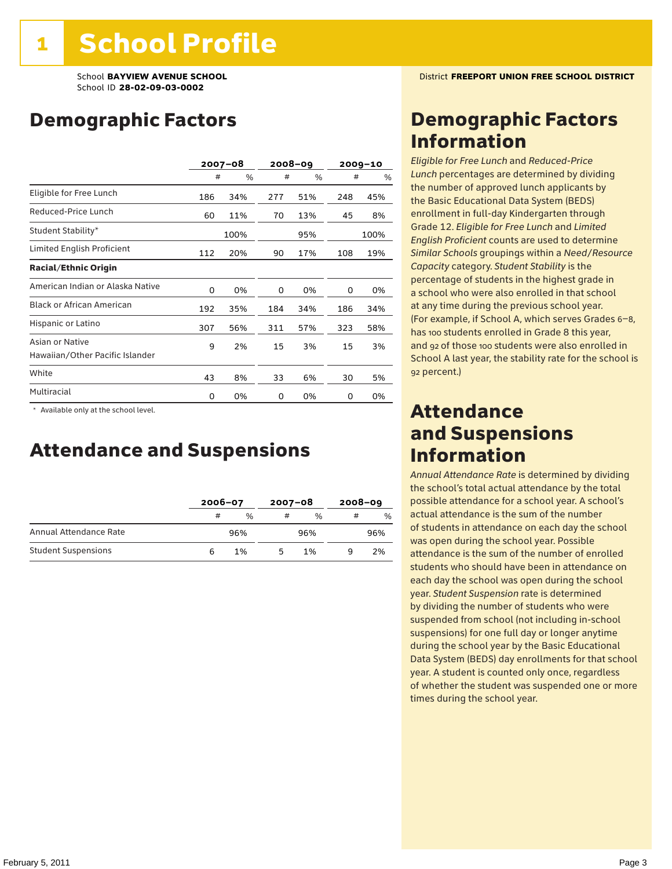### Demographic Factors

|                                                    |     | $2007 - 08$ |     | 2008-09 |     | $2009 - 10$ |
|----------------------------------------------------|-----|-------------|-----|---------|-----|-------------|
|                                                    | #   | %           | #   | %       | #   | %           |
| Eligible for Free Lunch                            | 186 | 34%         | 277 | 51%     | 248 | 45%         |
| Reduced-Price Lunch                                | 60  | 11%         | 70  | 13%     | 45  | 8%          |
| Student Stability*                                 |     | 100%        |     | 95%     |     | 100%        |
| Limited English Proficient                         | 112 | 20%         | 90  | 17%     | 108 | 19%         |
| <b>Racial/Ethnic Origin</b>                        |     |             |     |         |     |             |
| American Indian or Alaska Native                   | 0   | 0%          | 0   | 0%      | 0   | 0%          |
| <b>Black or African American</b>                   | 192 | 35%         | 184 | 34%     | 186 | 34%         |
| Hispanic or Latino                                 | 307 | 56%         | 311 | 57%     | 323 | 58%         |
| Asian or Native<br>Hawaiian/Other Pacific Islander | 9   | 2%          | 15  | 3%      | 15  | 3%          |
| White                                              | 43  | 8%          | 33  | 6%      | 30  | 5%          |
| Multiracial                                        | 0   | 0%          | 0   | 0%      | 0   | 0%          |

 \* Available only at the school level.

### Attendance and Suspensions

|                            |   | $2006 - 07$   |   | $2007 - 08$   |   | $2008 - 09$ |
|----------------------------|---|---------------|---|---------------|---|-------------|
|                            | # | $\frac{0}{0}$ | # | $\frac{0}{6}$ | # | %           |
| Annual Attendance Rate     |   | 96%           |   | 96%           |   | 96%         |
| <b>Student Suspensions</b> |   | 1%            |   | 1%            |   | 2%          |

### Demographic Factors Information

*Eligible for Free Lunch* and *Reduced*-*Price Lunch* percentages are determined by dividing the number of approved lunch applicants by the Basic Educational Data System (BEDS) enrollment in full-day Kindergarten through Grade 12. *Eligible for Free Lunch* and *Limited English Proficient* counts are used to determine *Similar Schools* groupings within a *Need*/*Resource Capacity* category. *Student Stability* is the percentage of students in the highest grade in a school who were also enrolled in that school at any time during the previous school year. (For example, if School A, which serves Grades 6–8, has 100 students enrolled in Grade 8 this year, and 92 of those 100 students were also enrolled in School A last year, the stability rate for the school is 92 percent.)

### Attendance and Suspensions Information

*Annual Attendance Rate* is determined by dividing the school's total actual attendance by the total possible attendance for a school year. A school's actual attendance is the sum of the number of students in attendance on each day the school was open during the school year. Possible attendance is the sum of the number of enrolled students who should have been in attendance on each day the school was open during the school year. *Student Suspension* rate is determined by dividing the number of students who were suspended from school (not including in-school suspensions) for one full day or longer anytime during the school year by the Basic Educational Data System (BEDS) day enrollments for that school year. A student is counted only once, regardless of whether the student was suspended one or more times during the school year.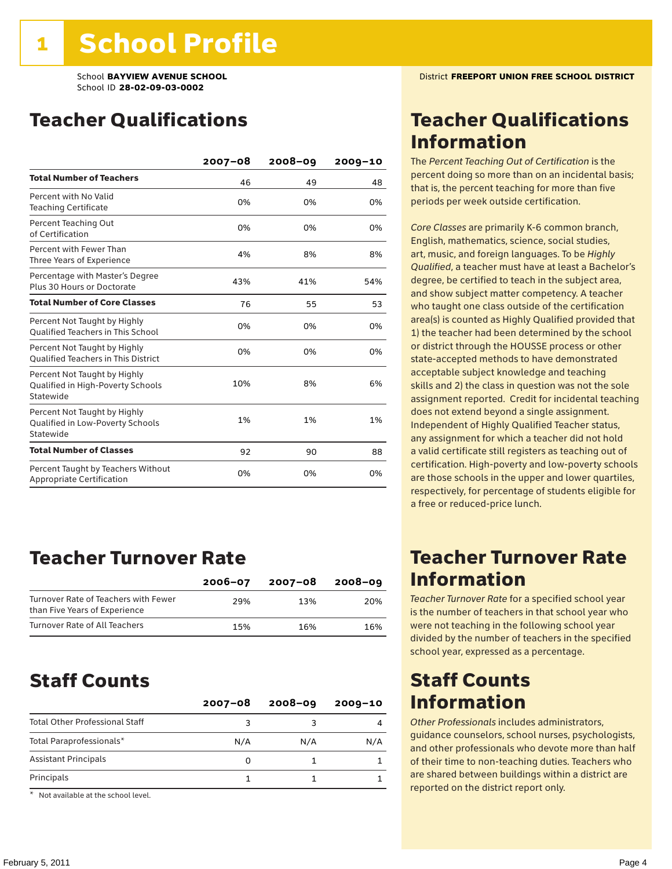### Teacher Qualifications

|                                                                                | $2007 - 08$ | $2008 - 09$ | $2009 - 10$ |
|--------------------------------------------------------------------------------|-------------|-------------|-------------|
| <b>Total Number of Teachers</b>                                                | 46          | 49          | 48          |
| Percent with No Valid<br><b>Teaching Certificate</b>                           | 0%          | 0%          | 0%          |
| Percent Teaching Out<br>of Certification                                       | 0%          | 0%          | 0%          |
| Percent with Fewer Than<br>Three Years of Experience                           | 4%          | 8%          | 8%          |
| Percentage with Master's Degree<br>Plus 30 Hours or Doctorate                  | 43%         | 41%         | 54%         |
| <b>Total Number of Core Classes</b>                                            | 76          | 55          | 53          |
| Percent Not Taught by Highly<br><b>Qualified Teachers in This School</b>       | 0%          | 0%          | 0%          |
| Percent Not Taught by Highly<br><b>Oualified Teachers in This District</b>     | 0%          | 0%          | 0%          |
| Percent Not Taught by Highly<br>Qualified in High-Poverty Schools<br>Statewide | 10%         | 8%          | 6%          |
| Percent Not Taught by Highly<br>Qualified in Low-Poverty Schools<br>Statewide  | 1%          | 1%          | 1%          |
| <b>Total Number of Classes</b>                                                 | 92          | 90          | 88          |
| Percent Taught by Teachers Without<br>Appropriate Certification                | 0%          | 0%          | 0%          |

### Teacher Turnover Rate

|                                                                       | $2006 - 07$ | 2007-08 | $2008 - 09$ |
|-----------------------------------------------------------------------|-------------|---------|-------------|
| Turnover Rate of Teachers with Fewer<br>than Five Years of Experience | 29%         | 13%     | 20%         |
| Turnover Rate of All Teachers                                         | 15%         | 16%     | 16%         |

### Staff Counts

|                                       | $2007 - 08$ | $2008 - 09$ | $2009 - 10$ |
|---------------------------------------|-------------|-------------|-------------|
| <b>Total Other Professional Staff</b> | ٩           |             |             |
| Total Paraprofessionals*              | N/A         | N/A         | N/A         |
| <b>Assistant Principals</b>           | Ω           |             |             |
| Principals                            |             |             |             |

\* Not available at the school level.

### Teacher Qualifications Information

The *Percent Teaching Out of Certification* is the percent doing so more than on an incidental basis; that is, the percent teaching for more than five periods per week outside certification.

*Core Classes* are primarily K-6 common branch, English, mathematics, science, social studies, art, music, and foreign languages. To be *Highly Qualified*, a teacher must have at least a Bachelor's degree, be certified to teach in the subject area, and show subject matter competency. A teacher who taught one class outside of the certification area(s) is counted as Highly Qualified provided that 1) the teacher had been determined by the school or district through the HOUSSE process or other state-accepted methods to have demonstrated acceptable subject knowledge and teaching skills and 2) the class in question was not the sole assignment reported. Credit for incidental teaching does not extend beyond a single assignment. Independent of Highly Qualified Teacher status, any assignment for which a teacher did not hold a valid certificate still registers as teaching out of certification. High-poverty and low-poverty schools are those schools in the upper and lower quartiles, respectively, for percentage of students eligible for a free or reduced-price lunch.

### Teacher Turnover Rate Information

*Teacher Turnover Rate* for a specified school year is the number of teachers in that school year who were not teaching in the following school year divided by the number of teachers in the specified school year, expressed as a percentage.

### Staff Counts Information

*Other Professionals* includes administrators, guidance counselors, school nurses, psychologists, and other professionals who devote more than half of their time to non-teaching duties. Teachers who are shared between buildings within a district are reported on the district report only.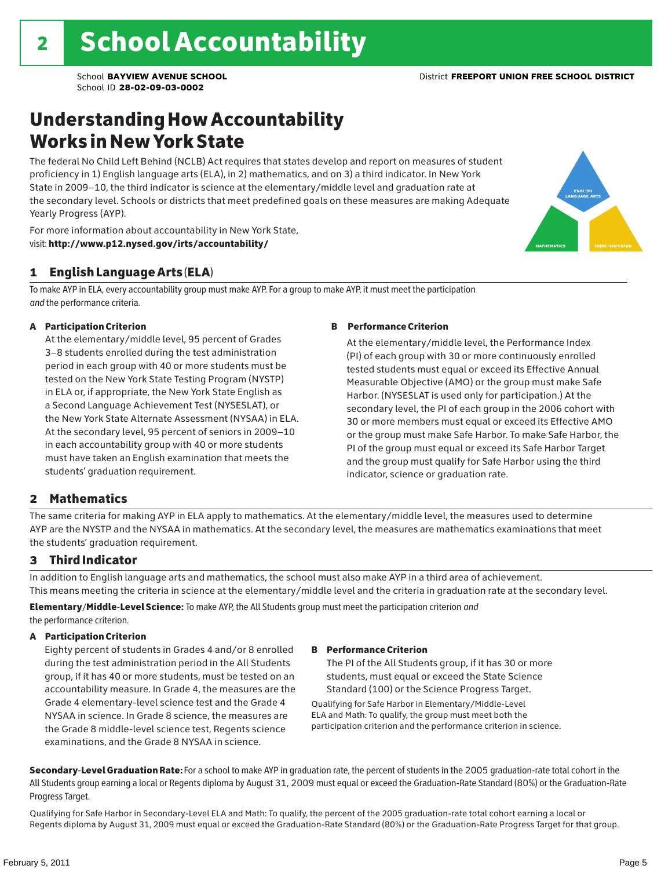### Understanding How Accountability Works in New York State

The federal No Child Left Behind (NCLB) Act requires that states develop and report on measures of student proficiency in 1) English language arts (ELA), in 2) mathematics, and on 3) a third indicator. In New York State in 2009–10, the third indicator is science at the elementary/middle level and graduation rate at the secondary level. Schools or districts that meet predefined goals on these measures are making Adequate Yearly Progress (AYP).

For more information about accountability in New York State, visit: http://www.p12.nysed.gov/irts/accountability/

### 1 English Language Arts (ELA)

To make AYP in ELA, every accountability group must make AYP. For a group to make AYP, it must meet the participation *and* the performance criteria.

#### A Participation Criterion

At the elementary/middle level, 95 percent of Grades 3–8 students enrolled during the test administration period in each group with 40 or more students must be tested on the New York State Testing Program (NYSTP) in ELA or, if appropriate, the New York State English as a Second Language Achievement Test (NYSESLAT), or the New York State Alternate Assessment (NYSAA) in ELA. At the secondary level, 95 percent of seniors in 2009–10 in each accountability group with 40 or more students must have taken an English examination that meets the students' graduation requirement.

#### B Performance Criterion

At the elementary/middle level, the Performance Index (PI) of each group with 30 or more continuously enrolled tested students must equal or exceed its Effective Annual Measurable Objective (AMO) or the group must make Safe Harbor. (NYSESLAT is used only for participation.) At the secondary level, the PI of each group in the 2006 cohort with 30 or more members must equal or exceed its Effective AMO or the group must make Safe Harbor. To make Safe Harbor, the PI of the group must equal or exceed its Safe Harbor Target and the group must qualify for Safe Harbor using the third indicator, science or graduation rate.

#### 2 Mathematics

The same criteria for making AYP in ELA apply to mathematics. At the elementary/middle level, the measures used to determine AYP are the NYSTP and the NYSAA in mathematics. At the secondary level, the measures are mathematics examinations that meet the students' graduation requirement.

#### 3 Third Indicator

In addition to English language arts and mathematics, the school must also make AYP in a third area of achievement. This means meeting the criteria in science at the elementary/middle level and the criteria in graduation rate at the secondary level.

Elementary/Middle-Level Science: To make AYP, the All Students group must meet the participation criterion *and* the performance criterion.

#### A Participation Criterion

Eighty percent of students in Grades 4 and/or 8 enrolled during the test administration period in the All Students group, if it has 40 or more students, must be tested on an accountability measure. In Grade 4, the measures are the Grade 4 elementary-level science test and the Grade 4 NYSAA in science. In Grade 8 science, the measures are the Grade 8 middle-level science test, Regents science examinations, and the Grade 8 NYSAA in science.

#### B Performance Criterion

The PI of the All Students group, if it has 30 or more students, must equal or exceed the State Science Standard (100) or the Science Progress Target.

Qualifying for Safe Harbor in Elementary/Middle-Level ELA and Math: To qualify, the group must meet both the participation criterion and the performance criterion in science.

Secondary-Level Graduation Rate: For a school to make AYP in graduation rate, the percent of students in the 2005 graduation-rate total cohort in the All Students group earning a local or Regents diploma by August 31, 2009 must equal or exceed the Graduation-Rate Standard (80%) or the Graduation-Rate Progress Target.

Qualifying for Safe Harbor in Secondary-Level ELA and Math: To qualify, the percent of the 2005 graduation-rate total cohort earning a local or Regents diploma by August 31, 2009 must equal or exceed the Graduation-Rate Standard (80%) or the Graduation-Rate Progress Target for that group.

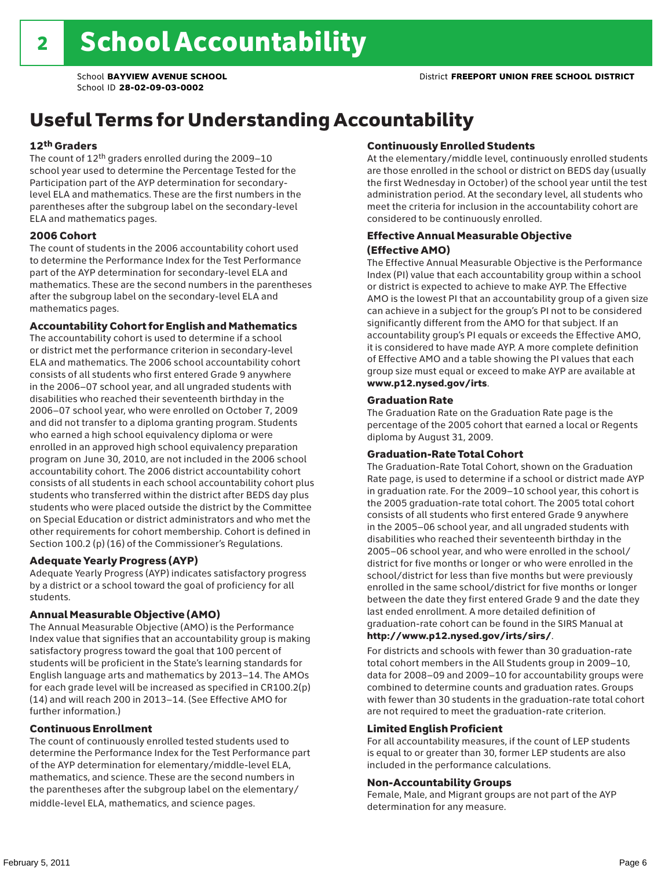### Useful Terms for Understanding Accountability

#### 12th Graders

The count of 12th graders enrolled during the 2009–10 school year used to determine the Percentage Tested for the Participation part of the AYP determination for secondarylevel ELA and mathematics. These are the first numbers in the parentheses after the subgroup label on the secondary-level ELA and mathematics pages.

#### 2006 Cohort

The count of students in the 2006 accountability cohort used to determine the Performance Index for the Test Performance part of the AYP determination for secondary-level ELA and mathematics. These are the second numbers in the parentheses after the subgroup label on the secondary-level ELA and mathematics pages.

#### Accountability Cohort for English and Mathematics

The accountability cohort is used to determine if a school or district met the performance criterion in secondary-level ELA and mathematics. The 2006 school accountability cohort consists of all students who first entered Grade 9 anywhere in the 2006–07 school year, and all ungraded students with disabilities who reached their seventeenth birthday in the 2006–07 school year, who were enrolled on October 7, 2009 and did not transfer to a diploma granting program. Students who earned a high school equivalency diploma or were enrolled in an approved high school equivalency preparation program on June 30, 2010, are not included in the 2006 school accountability cohort. The 2006 district accountability cohort consists of all students in each school accountability cohort plus students who transferred within the district after BEDS day plus students who were placed outside the district by the Committee on Special Education or district administrators and who met the other requirements for cohort membership. Cohort is defined in Section 100.2 (p) (16) of the Commissioner's Regulations.

#### Adequate Yearly Progress (AYP)

Adequate Yearly Progress (AYP) indicates satisfactory progress by a district or a school toward the goal of proficiency for all students.

#### Annual Measurable Objective (AMO)

The Annual Measurable Objective (AMO) is the Performance Index value that signifies that an accountability group is making satisfactory progress toward the goal that 100 percent of students will be proficient in the State's learning standards for English language arts and mathematics by 2013–14. The AMOs for each grade level will be increased as specified in CR100.2(p) (14) and will reach 200 in 2013–14. (See Effective AMO for further information.)

#### Continuous Enrollment

The count of continuously enrolled tested students used to determine the Performance Index for the Test Performance part of the AYP determination for elementary/middle-level ELA, mathematics, and science. These are the second numbers in the parentheses after the subgroup label on the elementary/ middle-level ELA, mathematics, and science pages.

#### Continuously Enrolled Students

At the elementary/middle level, continuously enrolled students are those enrolled in the school or district on BEDS day (usually the first Wednesday in October) of the school year until the test administration period. At the secondary level, all students who meet the criteria for inclusion in the accountability cohort are considered to be continuously enrolled.

#### Effective Annual Measurable Objective (Effective AMO)

The Effective Annual Measurable Objective is the Performance Index (PI) value that each accountability group within a school or district is expected to achieve to make AYP. The Effective AMO is the lowest PI that an accountability group of a given size can achieve in a subject for the group's PI not to be considered significantly different from the AMO for that subject. If an accountability group's PI equals or exceeds the Effective AMO, it is considered to have made AYP. A more complete definition of Effective AMO and a table showing the PI values that each group size must equal or exceed to make AYP are available at www.p12.nysed.gov/irts.

#### Graduation Rate

The Graduation Rate on the Graduation Rate page is the percentage of the 2005 cohort that earned a local or Regents diploma by August 31, 2009.

#### Graduation-Rate Total Cohort

The Graduation-Rate Total Cohort, shown on the Graduation Rate page, is used to determine if a school or district made AYP in graduation rate. For the 2009–10 school year, this cohort is the 2005 graduation-rate total cohort. The 2005 total cohort consists of all students who first entered Grade 9 anywhere in the 2005–06 school year, and all ungraded students with disabilities who reached their seventeenth birthday in the 2005–06 school year, and who were enrolled in the school/ district for five months or longer or who were enrolled in the school/district for less than five months but were previously enrolled in the same school/district for five months or longer between the date they first entered Grade 9 and the date they last ended enrollment. A more detailed definition of graduation-rate cohort can be found in the SIRS Manual at

#### http://www.p12.nysed.gov/irts/sirs/.

For districts and schools with fewer than 30 graduation-rate total cohort members in the All Students group in 2009–10, data for 2008–09 and 2009–10 for accountability groups were combined to determine counts and graduation rates. Groups with fewer than 30 students in the graduation-rate total cohort are not required to meet the graduation-rate criterion.

#### Limited English Proficient

For all accountability measures, if the count of LEP students is equal to or greater than 30, former LEP students are also included in the performance calculations.

#### Non-Accountability Groups

Female, Male, and Migrant groups are not part of the AYP determination for any measure.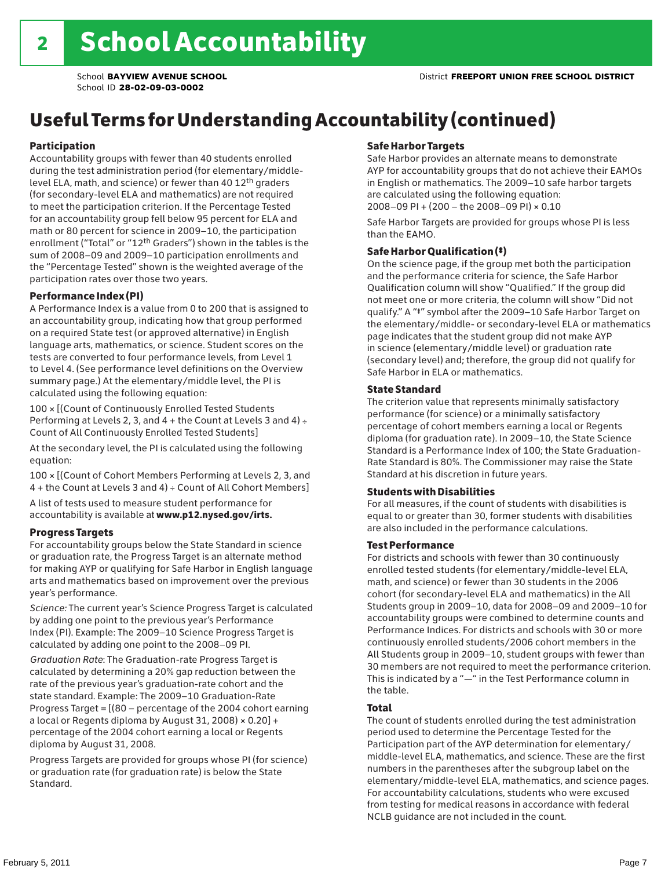## Useful Terms for Understanding Accountability (continued)

#### Participation

Accountability groups with fewer than 40 students enrolled during the test administration period (for elementary/middlelevel ELA, math, and science) or fewer than 40 12th graders (for secondary-level ELA and mathematics) are not required to meet the participation criterion. If the Percentage Tested for an accountability group fell below 95 percent for ELA and math or 80 percent for science in 2009–10, the participation enrollment ("Total" or "12th Graders") shown in the tables is the sum of 2008–09 and 2009–10 participation enrollments and the "Percentage Tested" shown is the weighted average of the participation rates over those two years.

#### Performance Index (PI)

A Performance Index is a value from 0 to 200 that is assigned to an accountability group, indicating how that group performed on a required State test (or approved alternative) in English language arts, mathematics, or science. Student scores on the tests are converted to four performance levels, from Level 1 to Level 4. (See performance level definitions on the Overview summary page.) At the elementary/middle level, the PI is calculated using the following equation:

100 × [(Count of Continuously Enrolled Tested Students Performing at Levels 2, 3, and  $4 +$  the Count at Levels 3 and  $4) \div$ Count of All Continuously Enrolled Tested Students]

At the secondary level, the PI is calculated using the following equation:

100 × [(Count of Cohort Members Performing at Levels 2, 3, and 4 + the Count at Levels 3 and 4) ÷ Count of All Cohort Members]

A list of tests used to measure student performance for accountability is available at www.p12.nysed.gov/irts.

#### Progress Targets

For accountability groups below the State Standard in science or graduation rate, the Progress Target is an alternate method for making AYP or qualifying for Safe Harbor in English language arts and mathematics based on improvement over the previous year's performance.

*Science:* The current year's Science Progress Target is calculated by adding one point to the previous year's Performance Index (PI). Example: The 2009–10 Science Progress Target is calculated by adding one point to the 2008–09 PI.

*Graduation Rate*: The Graduation-rate Progress Target is calculated by determining a 20% gap reduction between the rate of the previous year's graduation-rate cohort and the state standard. Example: The 2009–10 Graduation-Rate Progress Target = [(80 – percentage of the 2004 cohort earning a local or Regents diploma by August 31, 2008)  $\times$  0.20] + percentage of the 2004 cohort earning a local or Regents diploma by August 31, 2008.

Progress Targets are provided for groups whose PI (for science) or graduation rate (for graduation rate) is below the State Standard.

#### Safe Harbor Targets

Safe Harbor provides an alternate means to demonstrate AYP for accountability groups that do not achieve their EAMOs in English or mathematics. The 2009–10 safe harbor targets are calculated using the following equation: 2008–09 PI + (200 – the 2008–09 PI) × 0.10

Safe Harbor Targets are provided for groups whose PI is less than the EAMO.

#### Safe Harbor Qualification (‡)

On the science page, if the group met both the participation and the performance criteria for science, the Safe Harbor Qualification column will show "Qualified." If the group did not meet one or more criteria, the column will show "Did not qualify." A "‡" symbol after the 2009–10 Safe Harbor Target on the elementary/middle- or secondary-level ELA or mathematics page indicates that the student group did not make AYP in science (elementary/middle level) or graduation rate (secondary level) and; therefore, the group did not qualify for Safe Harbor in ELA or mathematics.

#### State Standard

The criterion value that represents minimally satisfactory performance (for science) or a minimally satisfactory percentage of cohort members earning a local or Regents diploma (for graduation rate). In 2009–10, the State Science Standard is a Performance Index of 100; the State Graduation-Rate Standard is 80%. The Commissioner may raise the State Standard at his discretion in future years.

#### Students with Disabilities

For all measures, if the count of students with disabilities is equal to or greater than 30, former students with disabilities are also included in the performance calculations.

#### Test Performance

For districts and schools with fewer than 30 continuously enrolled tested students (for elementary/middle-level ELA, math, and science) or fewer than 30 students in the 2006 cohort (for secondary-level ELA and mathematics) in the All Students group in 2009–10, data for 2008–09 and 2009–10 for accountability groups were combined to determine counts and Performance Indices. For districts and schools with 30 or more continuously enrolled students/2006 cohort members in the All Students group in 2009–10, student groups with fewer than 30 members are not required to meet the performance criterion. This is indicated by a "—" in the Test Performance column in the table.

#### Total

The count of students enrolled during the test administration period used to determine the Percentage Tested for the Participation part of the AYP determination for elementary/ middle-level ELA, mathematics, and science. These are the first numbers in the parentheses after the subgroup label on the elementary/middle-level ELA, mathematics, and science pages. For accountability calculations, students who were excused from testing for medical reasons in accordance with federal NCLB guidance are not included in the count.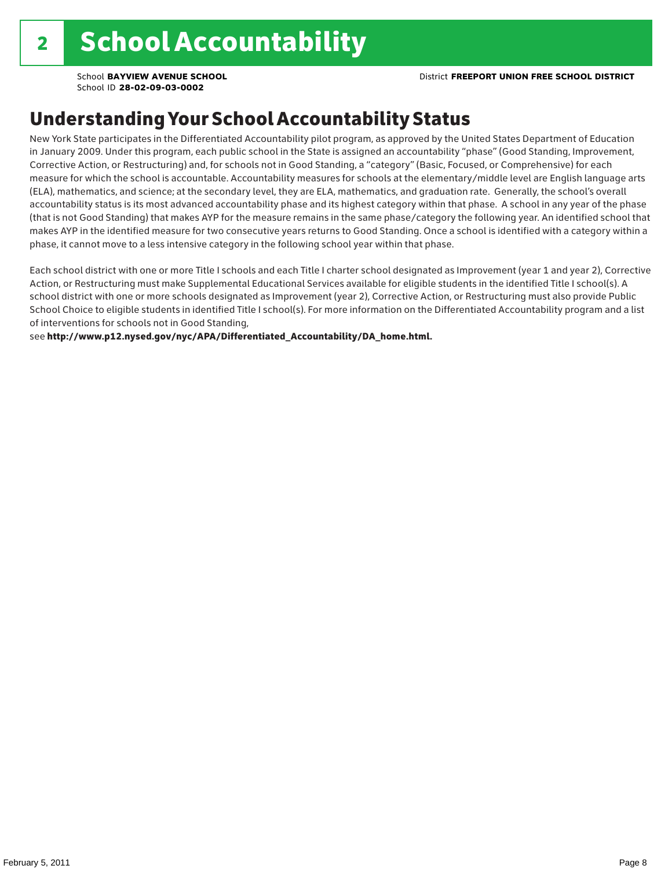### Understanding Your School Accountability Status

New York State participates in the Differentiated Accountability pilot program, as approved by the United States Department of Education in January 2009. Under this program, each public school in the State is assigned an accountability "phase" (Good Standing, Improvement, Corrective Action, or Restructuring) and, for schools not in Good Standing, a "category" (Basic, Focused, or Comprehensive) for each measure for which the school is accountable. Accountability measures for schools at the elementary/middle level are English language arts (ELA), mathematics, and science; at the secondary level, they are ELA, mathematics, and graduation rate. Generally, the school's overall accountability status is its most advanced accountability phase and its highest category within that phase. A school in any year of the phase (that is not Good Standing) that makes AYP for the measure remains in the same phase/category the following year. An identified school that makes AYP in the identified measure for two consecutive years returns to Good Standing. Once a school is identified with a category within a phase, it cannot move to a less intensive category in the following school year within that phase.

Each school district with one or more Title I schools and each Title I charter school designated as Improvement (year 1 and year 2), Corrective Action, or Restructuring must make Supplemental Educational Services available for eligible students in the identified Title I school(s). A school district with one or more schools designated as Improvement (year 2), Corrective Action, or Restructuring must also provide Public School Choice to eligible students in identified Title I school(s). For more information on the Differentiated Accountability program and a list of interventions for schools not in Good Standing,

see http://www.p12.nysed.gov/nyc/APA/Differentiated\_Accountability/DA\_home.html.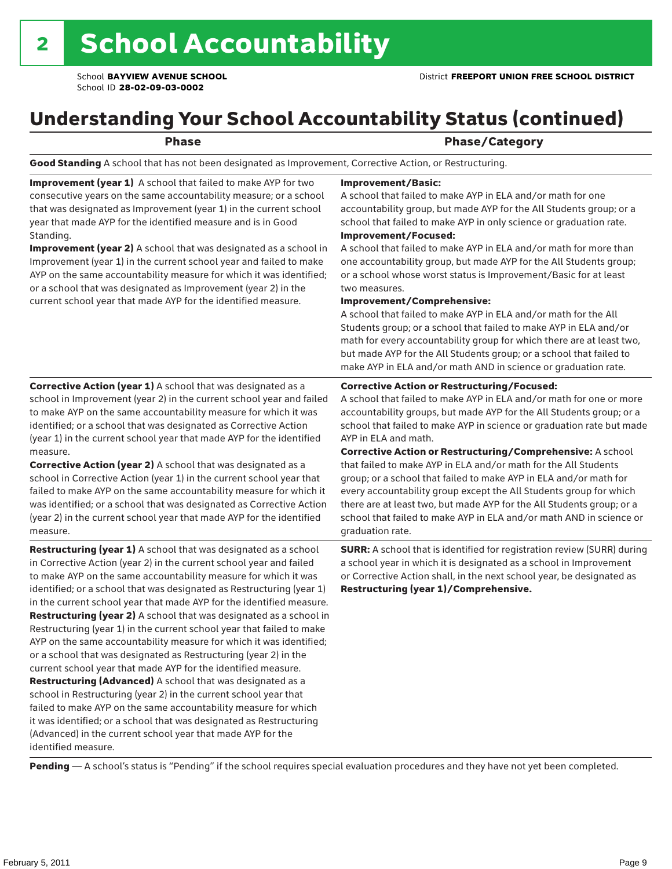### Understanding Your School Accountability Status (continued)

|  | $\sim$ | v | ٧ |
|--|--------|---|---|
|  |        |   |   |

### Phase/Category

Good Standing A school that has not been designated as Improvement, Corrective Action, or Restructuring.

Improvement (year 1) A school that failed to make AYP for two consecutive years on the same accountability measure; or a school that was designated as Improvement (year 1) in the current school year that made AYP for the identified measure and is in Good Standing.

Improvement (year 2) A school that was designated as a school in Improvement (year 1) in the current school year and failed to make AYP on the same accountability measure for which it was identified; or a school that was designated as Improvement (year 2) in the current school year that made AYP for the identified measure.

#### Improvement/Basic:

A school that failed to make AYP in ELA and/or math for one accountability group, but made AYP for the All Students group; or a school that failed to make AYP in only science or graduation rate. Improvement/Focused:

A school that failed to make AYP in ELA and/or math for more than one accountability group, but made AYP for the All Students group; or a school whose worst status is Improvement/Basic for at least two measures.

#### Improvement/Comprehensive:

A school that failed to make AYP in ELA and/or math for the All Students group; or a school that failed to make AYP in ELA and/or math for every accountability group for which there are at least two, but made AYP for the All Students group; or a school that failed to make AYP in ELA and/or math AND in science or graduation rate.

#### Corrective Action or Restructuring/Focused:

A school that failed to make AYP in ELA and/or math for one or more accountability groups, but made AYP for the All Students group; or a school that failed to make AYP in science or graduation rate but made AYP in ELA and math.

(year 1) in the current school year that made AYP for the identified measure. Corrective Action (year 2) A school that was designated as a school in Corrective Action (year 1) in the current school year that failed to make AYP on the same accountability measure for which it was identified; or a school that was designated as Corrective Action (year 2) in the current school year that made AYP for the identified

measure. Restructuring (year 1) A school that was designated as a school

Corrective Action (year 1) A school that was designated as a school in Improvement (year 2) in the current school year and failed to make AYP on the same accountability measure for which it was identified; or a school that was designated as Corrective Action

in Corrective Action (year 2) in the current school year and failed to make AYP on the same accountability measure for which it was identified; or a school that was designated as Restructuring (year 1) in the current school year that made AYP for the identified measure. Restructuring (year 2) A school that was designated as a school in Restructuring (year 1) in the current school year that failed to make AYP on the same accountability measure for which it was identified; or a school that was designated as Restructuring (year 2) in the current school year that made AYP for the identified measure. Restructuring (Advanced) A school that was designated as a school in Restructuring (year 2) in the current school year that failed to make AYP on the same accountability measure for which it was identified; or a school that was designated as Restructuring (Advanced) in the current school year that made AYP for the identified measure.

Corrective Action or Restructuring/Comprehensive: A school that failed to make AYP in ELA and/or math for the All Students group; or a school that failed to make AYP in ELA and/or math for every accountability group except the All Students group for which there are at least two, but made AYP for the All Students group; or a school that failed to make AYP in ELA and/or math AND in science or graduation rate.

SURR: A school that is identified for registration review (SURR) during a school year in which it is designated as a school in Improvement or Corrective Action shall, in the next school year, be designated as Restructuring (year 1)/Comprehensive.

Pending - A school's status is "Pending" if the school requires special evaluation procedures and they have not yet been completed.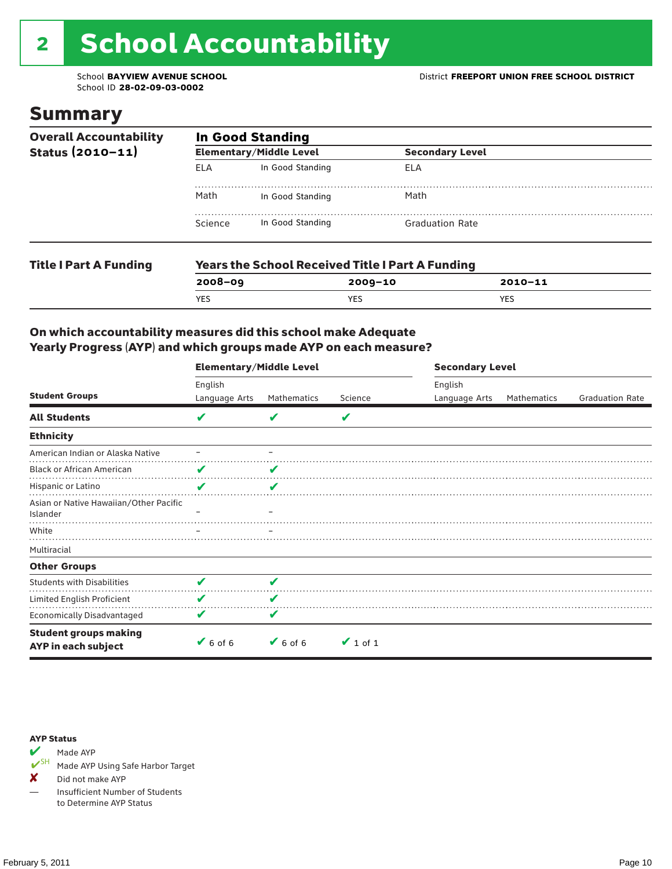# 2 School Accountability

School ID **28-02-09-03-0002**

### Summary

| <b>Overall Accountability</b><br>Status (2010-11) | <b>In Good Standing</b> |                                                         |                        |  |  |  |
|---------------------------------------------------|-------------------------|---------------------------------------------------------|------------------------|--|--|--|
|                                                   |                         | <b>Elementary/Middle Level</b>                          | <b>Secondary Level</b> |  |  |  |
|                                                   | <b>ELA</b>              | In Good Standing                                        | ELA                    |  |  |  |
|                                                   | Math                    | In Good Standing                                        | Math                   |  |  |  |
|                                                   | Science                 | In Good Standing                                        | <b>Graduation Rate</b> |  |  |  |
| <b>Title I Part A Funding</b>                     |                         | <b>Years the School Received Title I Part A Funding</b> |                        |  |  |  |

**2008–09 2009–10 2010–11**

YES YES YES

### On which accountability measures did this school make Adequate Yearly Progress (AYP) and which groups made AYP on each measure?

|                                                     | <b>Elementary/Middle Level</b> |                              |               | <b>Secondary Level</b>   |             |                        |  |
|-----------------------------------------------------|--------------------------------|------------------------------|---------------|--------------------------|-------------|------------------------|--|
| <b>Student Groups</b>                               | English<br>Language Arts       | Mathematics                  | Science       | English<br>Language Arts | Mathematics | <b>Graduation Rate</b> |  |
| <b>All Students</b>                                 | V                              | v                            | V             |                          |             |                        |  |
| <b>Ethnicity</b>                                    |                                |                              |               |                          |             |                        |  |
| American Indian or Alaska Native                    |                                |                              |               |                          |             |                        |  |
| <b>Black or African American</b>                    | V                              | V                            |               |                          |             |                        |  |
| Hispanic or Latino                                  | V                              | ✔                            |               |                          |             |                        |  |
| Asian or Native Hawaiian/Other Pacific<br>Islander  |                                |                              |               |                          |             |                        |  |
| White                                               |                                |                              |               |                          |             |                        |  |
| Multiracial                                         |                                |                              |               |                          |             |                        |  |
| <b>Other Groups</b>                                 |                                |                              |               |                          |             |                        |  |
| <b>Students with Disabilities</b>                   | V                              | V                            |               |                          |             |                        |  |
| Limited English Proficient                          | V                              | V                            |               |                          |             |                        |  |
| Economically Disadvantaged                          | V                              | V                            |               |                          |             |                        |  |
| <b>Student groups making</b><br>AYP in each subject | $6$ of 6                       | $\blacktriangleright$ 6 of 6 | $\vee$ 1 of 1 |                          |             |                        |  |

#### AYP Status



Made AYP Using Safe Harbor Target

✘ Did not make AYP

— Insufficient Number of Students to Determine AYP Status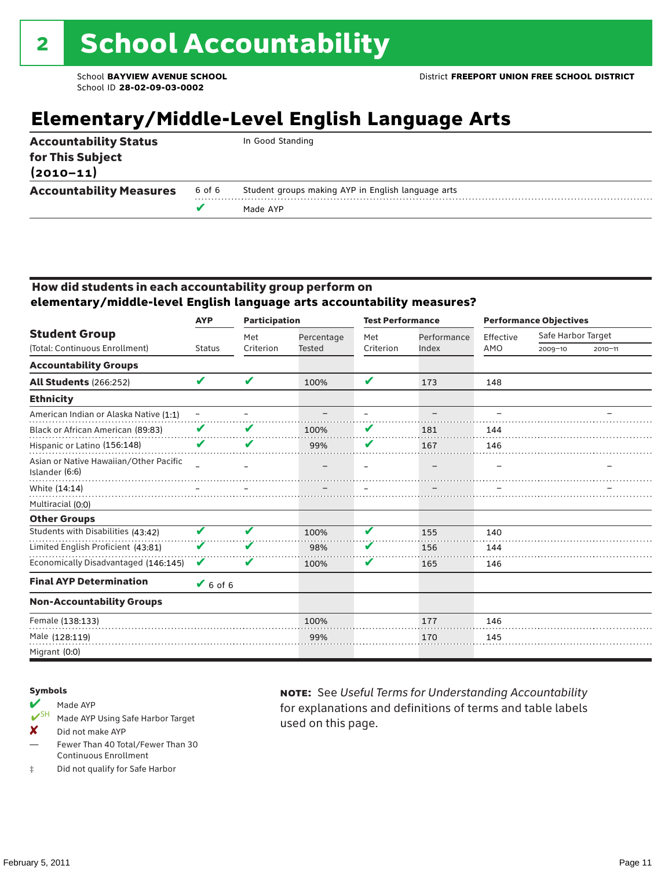### **Elementary/Middle-Level English Language Arts**

|        | In Good Standing                                   |
|--------|----------------------------------------------------|
|        |                                                    |
| 6 of 6 | Student groups making AYP in English language arts |
|        | Made AYP                                           |
|        | <b>Accountability Measures</b>                     |

#### How did students in each accountability group perform on **elementary/middle-level English language arts accountability measures?**

|                                                          | <b>Participation</b><br><b>AYP</b> |           |               | <b>Test Performance</b>    |             | <b>Performance Objectives</b> |                    |             |
|----------------------------------------------------------|------------------------------------|-----------|---------------|----------------------------|-------------|-------------------------------|--------------------|-------------|
| <b>Student Group</b>                                     |                                    | Met       | Percentage    | Met                        | Performance | Effective                     | Safe Harbor Target |             |
| (Total: Continuous Enrollment)                           | <b>Status</b>                      | Criterion | <b>Tested</b> | Criterion                  | Index       | AMO                           | $2009 - 10$        | $2010 - 11$ |
| <b>Accountability Groups</b>                             |                                    |           |               |                            |             |                               |                    |             |
| All Students (266:252)                                   | V                                  | V         | 100%          | $\boldsymbol{\mathcal{L}}$ | 173         | 148                           |                    |             |
| <b>Ethnicity</b>                                         |                                    |           |               |                            |             |                               |                    |             |
| American Indian or Alaska Native (1:1)                   | $\overline{\phantom{0}}$           |           |               |                            |             |                               |                    |             |
| Black or African American (89:83)                        | V                                  | V         | 100%          | V                          | 181         | 144                           |                    |             |
| Hispanic or Latino (156:148)                             | V                                  | V         | 99%           | V                          | 167         | 146                           |                    |             |
| Asian or Native Hawaiian/Other Pacific<br>Islander (6:6) |                                    |           |               |                            |             |                               |                    |             |
| White (14:14)                                            |                                    |           |               |                            |             |                               |                    |             |
| Multiracial (0:0)                                        |                                    |           |               |                            |             |                               |                    |             |
| <b>Other Groups</b>                                      |                                    |           |               |                            |             |                               |                    |             |
| Students with Disabilities (43:42)                       | V                                  | V         | 100%          | V                          | 155         | 140                           |                    |             |
| Limited English Proficient (43:81)                       | V                                  | V         | 98%           | v                          | 156         | 144                           |                    |             |
| Economically Disadvantaged (146:145)                     | V                                  | V         | 100%          | V                          | 165         | 146                           |                    |             |
| <b>Final AYP Determination</b>                           | $V$ 6 of 6                         |           |               |                            |             |                               |                    |             |
| <b>Non-Accountability Groups</b>                         |                                    |           |               |                            |             |                               |                    |             |
| Female (138:133)                                         |                                    |           | 100%          |                            | 177         | 146                           |                    |             |
| Male (128:119)                                           |                                    |           | 99%           |                            | 170         | 145                           |                    |             |
| Migrant (0:0)                                            |                                    |           |               |                            |             |                               |                    |             |

#### Symbols

- Made AYP<br> **V**SH Made AVP Made AYP Using Safe Harbor Target
- X Did not make AYP
- Fewer Than 40 Total/Fewer Than 30 Continuous Enrollment
- ‡ Did not qualify for Safe Harbor

note: See *Useful Terms for Understanding Accountability*  for explanations and definitions of terms and table labels used on this page.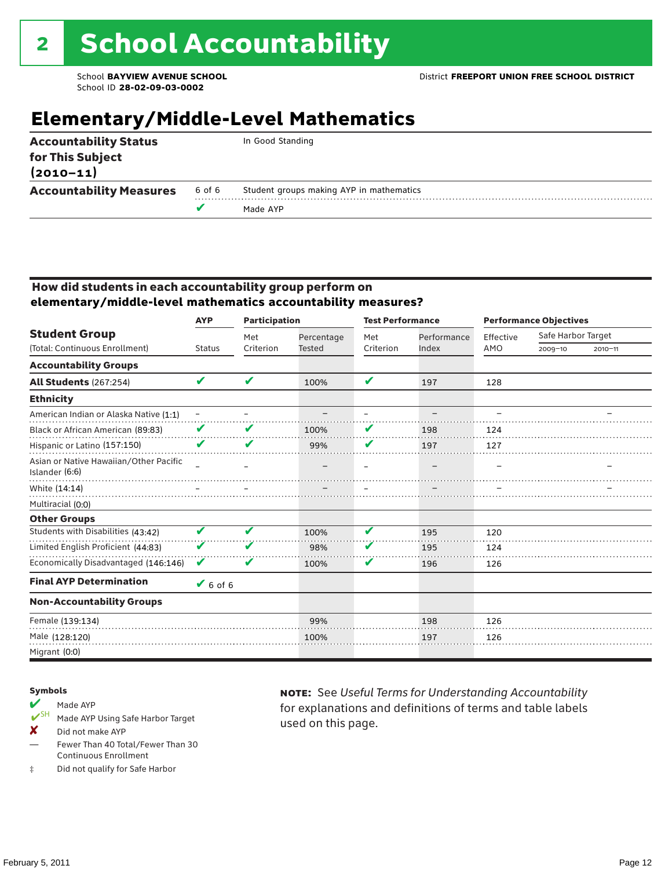### **Elementary/Middle-Level Mathematics**

|                                                                   |        | Made AYP                                 |  |
|-------------------------------------------------------------------|--------|------------------------------------------|--|
| <b>Accountability Measures</b>                                    | 6 of 6 | Student groups making AYP in mathematics |  |
| <b>Accountability Status</b><br>for This Subject<br>$(2010 - 11)$ |        | In Good Standing                         |  |

#### How did students in each accountability group perform on **elementary/middle-level mathematics accountability measures?**

|                                                          | <b>AYP</b>        | <b>Participation</b> |                             | <b>Test Performance</b> |                      | <b>Performance Objectives</b> |                                   |             |
|----------------------------------------------------------|-------------------|----------------------|-----------------------------|-------------------------|----------------------|-------------------------------|-----------------------------------|-------------|
| <b>Student Group</b><br>(Total: Continuous Enrollment)   | <b>Status</b>     | Met<br>Criterion     | Percentage<br><b>Tested</b> | Met<br>Criterion        | Performance<br>Index | Effective<br>AMO              | Safe Harbor Target<br>$2009 - 10$ |             |
|                                                          |                   |                      |                             |                         |                      |                               |                                   | $2010 - 11$ |
| <b>Accountability Groups</b>                             |                   |                      |                             |                         |                      |                               |                                   |             |
| <b>All Students (267:254)</b>                            | V                 | V                    | 100%                        | $\mathbf{v}$            | 197                  | 128                           |                                   |             |
| <b>Ethnicity</b>                                         |                   |                      |                             |                         |                      |                               |                                   |             |
| American Indian or Alaska Native (1:1)                   | $\qquad \qquad -$ |                      |                             |                         |                      |                               |                                   |             |
| Black or African American (89:83)                        | V                 | V                    | 100%                        | V                       | 198                  | 124                           |                                   |             |
| Hispanic or Latino (157:150)                             | V                 | V                    | 99%                         | V                       | 197                  | 127                           |                                   |             |
| Asian or Native Hawaiian/Other Pacific<br>Islander (6:6) |                   |                      |                             |                         |                      |                               |                                   |             |
| White (14:14)                                            |                   |                      |                             |                         |                      |                               |                                   |             |
| Multiracial (0:0)                                        |                   |                      |                             |                         |                      |                               |                                   |             |
| <b>Other Groups</b>                                      |                   |                      |                             |                         |                      |                               |                                   |             |
| Students with Disabilities (43:42)                       | V                 | V                    | 100%                        | V                       | 195                  | 120                           |                                   |             |
| Limited English Proficient (44:83)                       | V                 | V                    | 98%                         | V                       | 195                  | 124                           |                                   |             |
| Economically Disadvantaged (146:146)                     | V                 | V                    | 100%                        | V                       | 196                  | 126                           |                                   |             |
| <b>Final AYP Determination</b>                           | $6$ of 6          |                      |                             |                         |                      |                               |                                   |             |
| <b>Non-Accountability Groups</b>                         |                   |                      |                             |                         |                      |                               |                                   |             |
| Female (139:134)                                         |                   |                      | 99%                         |                         | 198                  | 126                           |                                   |             |
| Male (128:120)                                           |                   |                      | 100%                        |                         | 197                  | 126                           |                                   |             |
| Migrant (0:0)                                            |                   |                      |                             |                         |                      |                               |                                   |             |

#### Symbols

- Made AYP<br> **V**SH Made AVP Made AYP Using Safe Harbor Target
- X Did not make AYP
- Fewer Than 40 Total/Fewer Than 30 Continuous Enrollment
- ‡ Did not qualify for Safe Harbor

note: See *Useful Terms for Understanding Accountability*  for explanations and definitions of terms and table labels used on this page.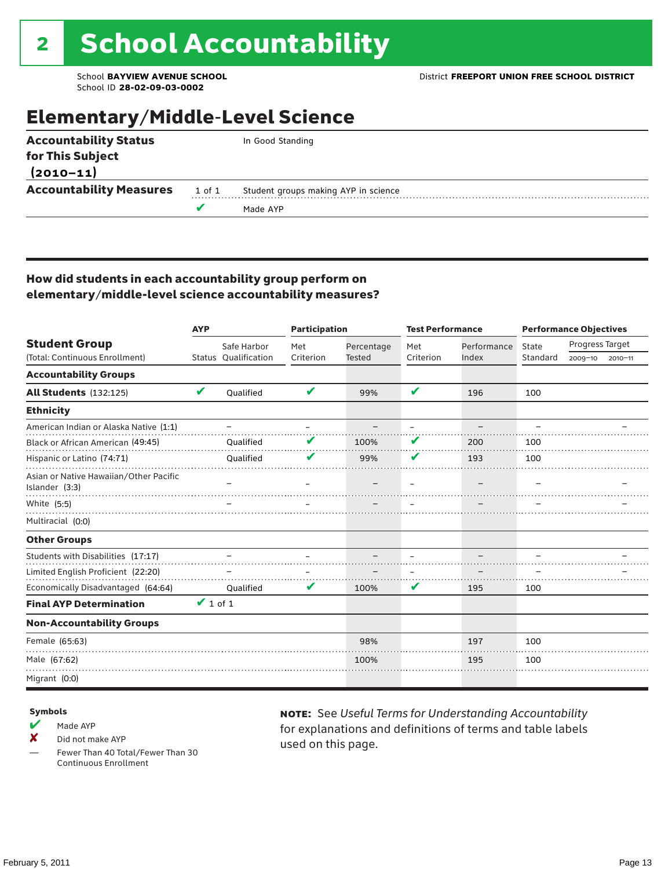### Elementary/Middle-Level Science

| <b>Accountability Status</b>   |        | In Good Standing                     |
|--------------------------------|--------|--------------------------------------|
| for This Subject               |        |                                      |
| $(2010 - 11)$                  |        |                                      |
| <b>Accountability Measures</b> | 1 of 1 | Student groups making AYP in science |
|                                |        | Made AYP                             |
|                                |        |                                      |

#### How did students in each accountability group perform on elementary/middle-level science accountability measures?

|                                                          | <b>AYP</b>          |                      | <b>Participation</b> |               | <b>Test Performance</b> |             | <b>Performance Objectives</b> |                 |             |
|----------------------------------------------------------|---------------------|----------------------|----------------------|---------------|-------------------------|-------------|-------------------------------|-----------------|-------------|
| <b>Student Group</b>                                     |                     | Safe Harbor          | Met                  | Percentage    | Met                     | Performance | State                         | Progress Target |             |
| (Total: Continuous Enrollment)                           |                     | Status Qualification | Criterion            | <b>Tested</b> | Criterion               | Index       | Standard                      | 2009-10         | $2010 - 11$ |
| <b>Accountability Groups</b>                             |                     |                      |                      |               |                         |             |                               |                 |             |
| <b>All Students</b> (132:125)                            | V                   | Oualified            | V                    | 99%           | ✔                       | 196         | 100                           |                 |             |
| <b>Ethnicity</b>                                         |                     |                      |                      |               |                         |             |                               |                 |             |
| American Indian or Alaska Native (1:1)                   |                     |                      |                      |               |                         |             |                               |                 |             |
| Black or African American (49:45)                        |                     | Oualified            |                      | 100%          | V                       | 200         | 100                           |                 |             |
| Hispanic or Latino (74:71)                               |                     | Qualified            | V                    | 99%           | V                       | 193         | 100                           |                 |             |
| Asian or Native Hawaiian/Other Pacific<br>Islander (3:3) |                     |                      |                      |               |                         |             |                               |                 |             |
| White (5:5)                                              |                     |                      |                      |               |                         |             |                               |                 |             |
| Multiracial (0:0)                                        |                     |                      |                      |               |                         |             |                               |                 |             |
| <b>Other Groups</b>                                      |                     |                      |                      |               |                         |             |                               |                 |             |
| Students with Disabilities (17:17)                       |                     |                      |                      |               |                         |             |                               |                 |             |
| Limited English Proficient (22:20)                       |                     |                      |                      |               |                         |             |                               |                 |             |
| Economically Disadvantaged (64:64)                       |                     | Qualified            | V                    | 100%          | V                       | 195         | 100                           |                 |             |
| <b>Final AYP Determination</b>                           | $\mathbf{V}$ 1 of 1 |                      |                      |               |                         |             |                               |                 |             |
| <b>Non-Accountability Groups</b>                         |                     |                      |                      |               |                         |             |                               |                 |             |
| Female (65:63)                                           |                     |                      |                      | 98%           |                         | 197         | 100                           |                 |             |
| Male (67:62)                                             |                     |                      |                      | 100%          |                         | 195         | 100                           |                 |             |
| Migrant (0:0)                                            |                     |                      |                      |               |                         |             |                               |                 |             |

#### Symbols

- $M$  Made AYP
- X Did not make AYP
- Fewer Than 40 Total/Fewer Than 30 Continuous Enrollment

note: See *Useful Terms for Understanding Accountability*  for explanations and definitions of terms and table labels used on this page.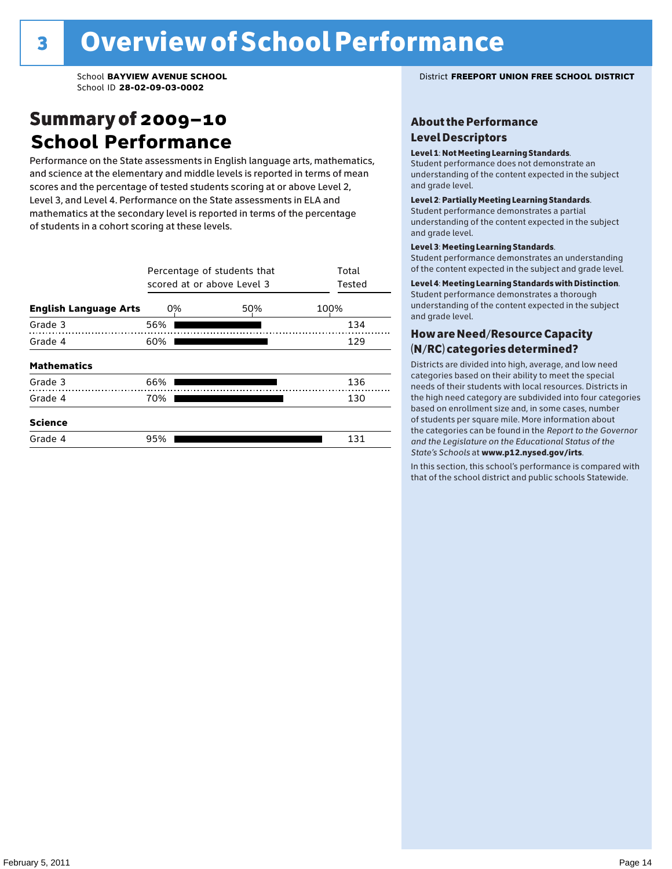### Summary of 2009–10 **School Performance**

Performance on the State assessments in English language arts, mathematics, and science at the elementary and middle levels is reported in terms of mean scores and the percentage of tested students scoring at or above Level 2, Level 3, and Level 4. Performance on the State assessments in ELA and mathematics at the secondary level is reported in terms of the percentage of students in a cohort scoring at these levels.

|                              | Percentage of students that<br>scored at or above Level 3 | Total<br>Tested |      |
|------------------------------|-----------------------------------------------------------|-----------------|------|
| <b>English Language Arts</b> | 0%                                                        | 50%             | 100% |
| Grade 3                      | 56%                                                       |                 | 134  |
| Grade 4                      | 60%                                                       |                 | 129  |
| <b>Mathematics</b>           |                                                           |                 |      |
| Grade 3                      | 66%                                                       |                 | 136  |
| Grade 4                      | 70%                                                       |                 | 130  |
| <b>Science</b>               |                                                           |                 |      |
| Grade 4                      | 95%                                                       |                 | 131  |

#### School **BAYVIEW AVENUE SCHOOL** District **FREEPORT UNION FREE SCHOOL DISTRICT**

#### About the Performance Level Descriptors

#### Level 1: Not Meeting Learning Standards.

Student performance does not demonstrate an understanding of the content expected in the subject and grade level.

#### Level 2: Partially Meeting Learning Standards.

Student performance demonstrates a partial understanding of the content expected in the subject and grade level.

#### Level 3: Meeting Learning Standards.

Student performance demonstrates an understanding of the content expected in the subject and grade level.

#### Level 4: Meeting Learning Standards with Distinction.

Student performance demonstrates a thorough understanding of the content expected in the subject and grade level.

#### How are Need/Resource Capacity (N/RC) categories determined?

Districts are divided into high, average, and low need categories based on their ability to meet the special needs of their students with local resources. Districts in the high need category are subdivided into four categories based on enrollment size and, in some cases, number of students per square mile. More information about the categories can be found in the *Report to the Governor and the Legislature on the Educational Status of the*  State's Schools at www.p12.nysed.gov/irts.

In this section, this school's performance is compared with<br>that of the school district and multigarhaals Statemide In this section, this school's performance is compared that of the school district and public schools Statewide.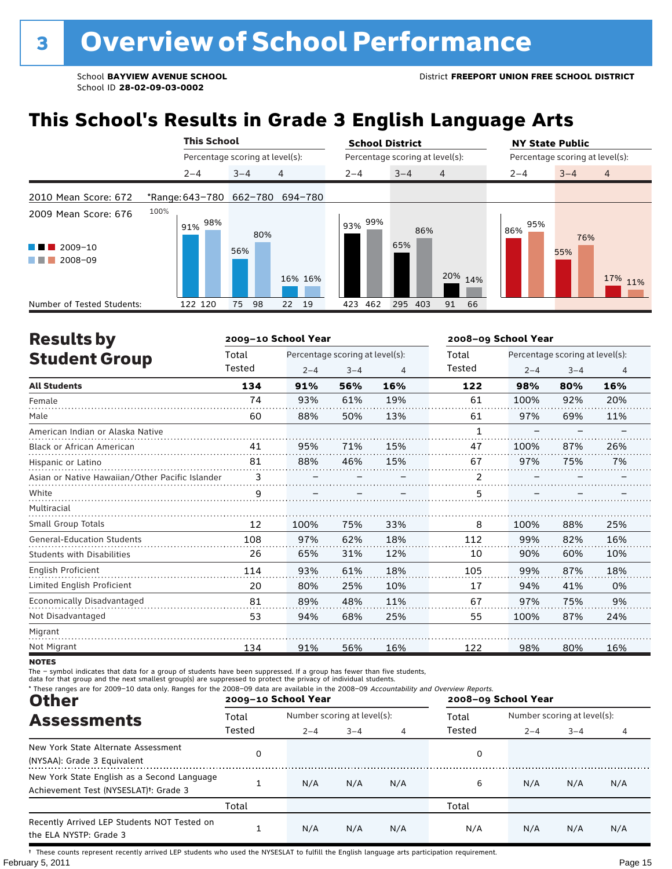### **This School's Results in Grade 3 English Language Arts**

|                                                                                        | <b>This School</b> |                                 | <b>School District</b>          |                | <b>NY State Public</b><br>Percentage scoring at level(s): |                           |  |
|----------------------------------------------------------------------------------------|--------------------|---------------------------------|---------------------------------|----------------|-----------------------------------------------------------|---------------------------|--|
|                                                                                        |                    | Percentage scoring at level(s): | Percentage scoring at level(s): |                |                                                           |                           |  |
|                                                                                        | $2 - 4$            | 4<br>$3 - 4$                    | $2 - 4$<br>$3 - 4$              | $\overline{4}$ | $2 - 4$                                                   | $3 - 4$<br>$\overline{4}$ |  |
| 2010 Mean Score: 672                                                                   |                    | *Range: 643-780 662-780 694-780 |                                 |                |                                                           |                           |  |
| 2009 Mean Score: 676<br>$2009 - 10$<br><b>Contract Contract</b><br>2008-09<br>a sa ban | 100%<br>98%<br>91% | 80%<br>56%<br>16% 16%           | 99%<br>93%<br>86%<br>65%        | 20% 14%        | 95%<br>86%                                                | 76%<br>55%<br>17% 11%     |  |
| Number of Tested Students:                                                             | 122 120            | 98<br>19<br>75<br>22            | 462<br>295<br>423<br>403        | 91<br>66       |                                                           |                           |  |

| <b>Results by</b>                               |        | 2009-10 School Year |                                 |     | 2008-09 School Year |         |                                 |                |
|-------------------------------------------------|--------|---------------------|---------------------------------|-----|---------------------|---------|---------------------------------|----------------|
| <b>Student Group</b>                            | Total  |                     | Percentage scoring at level(s): |     | Total               |         | Percentage scoring at level(s): |                |
|                                                 | Tested | $2 - 4$             | $3 - 4$                         | 4   | Tested              | $2 - 4$ | $3 - 4$                         | $\overline{4}$ |
| <b>All Students</b>                             | 134    | 91%                 | 56%                             | 16% | 122                 | 98%     | 80%                             | 16%            |
| Female                                          | 74     | 93%                 | 61%                             | 19% | 61                  | 100%    | 92%                             | 20%            |
| Male                                            | 60     | 88%                 | 50%                             | 13% | 61                  | 97%     | 69%                             | 11%            |
| American Indian or Alaska Native                |        |                     |                                 |     |                     |         |                                 |                |
| Black or African American                       | 41     | 95%                 | 71%                             | 15% | 47                  | 100%    | 87%                             | 26%            |
| Hispanic or Latino                              | 81     | 88%                 | 46%                             | 15% | 67                  | 97%     | 75%                             | 7%             |
| Asian or Native Hawaiian/Other Pacific Islander | 3      |                     |                                 |     | 2                   |         |                                 |                |
| White                                           | 9      |                     |                                 |     | 5                   |         |                                 |                |
| Multiracial                                     |        |                     |                                 |     |                     |         |                                 |                |
| Small Group Totals                              | 12     | 100%                | 75%                             | 33% | 8                   | 100%    | 88%                             | 25%            |
| <b>General-Education Students</b>               | 108    | 97%                 | 62%                             | 18% | 112                 | 99%     | 82%                             | 16%            |
| <b>Students with Disabilities</b>               | 26     | 65%                 | 31%                             | 12% | 10                  | 90%     | 60%                             | 10%            |
| English Proficient                              | 114    | 93%                 | 61%                             | 18% | 105                 | 99%     | 87%                             | 18%            |
| Limited English Proficient                      | 20     | 80%                 | 25%                             | 10% | 17                  | 94%     | 41%                             | 0%             |
| Economically Disadvantaged                      | 81     | 89%                 | 48%                             | 11% | 67                  | 97%     | 75%                             | 9%             |
| Not Disadvantaged                               | 53     | 94%                 | 68%                             | 25% | 55                  | 100%    | 87%                             | 24%            |
| Migrant                                         |        |                     |                                 |     |                     |         |                                 |                |
| Not Migrant                                     | 134    | 91%                 | 56%                             | 16% | 122                 | 98%     | 80%                             | 16%            |

**NOTES** 

The – symbol indicates that data for a group of students have been suppressed. If a group has fewer than five students,<br>data for that group and the next smallest group(s) are suppressed to protect the privacy of individual

| * These ranges are for 2009-10 data only. Ranges for the 2008-09 data are available in the 2008-09 Accountability and Overview Reports.<br><b>Other</b> |        | 2009-10 School Year |                             |                | 2008-09 School Year |                             |         |     |  |
|---------------------------------------------------------------------------------------------------------------------------------------------------------|--------|---------------------|-----------------------------|----------------|---------------------|-----------------------------|---------|-----|--|
| <b>Assessments</b>                                                                                                                                      | Total  |                     | Number scoring at level(s): |                |                     | Number scoring at level(s): |         |     |  |
|                                                                                                                                                         | Tested | $2 - 4$             | $3 - 4$                     | $\overline{4}$ | Tested              | $2 - 4$                     | $3 - 4$ | 4   |  |
| New York State Alternate Assessment<br>(NYSAA): Grade 3 Equivalent                                                                                      | 0      |                     |                             |                | 0                   |                             |         |     |  |
| New York State English as a Second Language<br>Achievement Test (NYSESLAT) <sup>+</sup> : Grade 3                                                       |        | N/A                 | N/A                         | N/A            | 6                   | N/A                         | N/A     | N/A |  |
|                                                                                                                                                         | Total  |                     |                             |                | Total               |                             |         |     |  |
| Recently Arrived LEP Students NOT Tested on<br>the ELA NYSTP: Grade 3                                                                                   |        | N/A                 | N/A                         | N/A            | N/A                 | N/A                         | N/A     | N/A |  |

February 5, 2011 **Page 15** † These counts represent recently arrived LEP students who used the NYSESLAT to fulfill the English language arts participation requirement.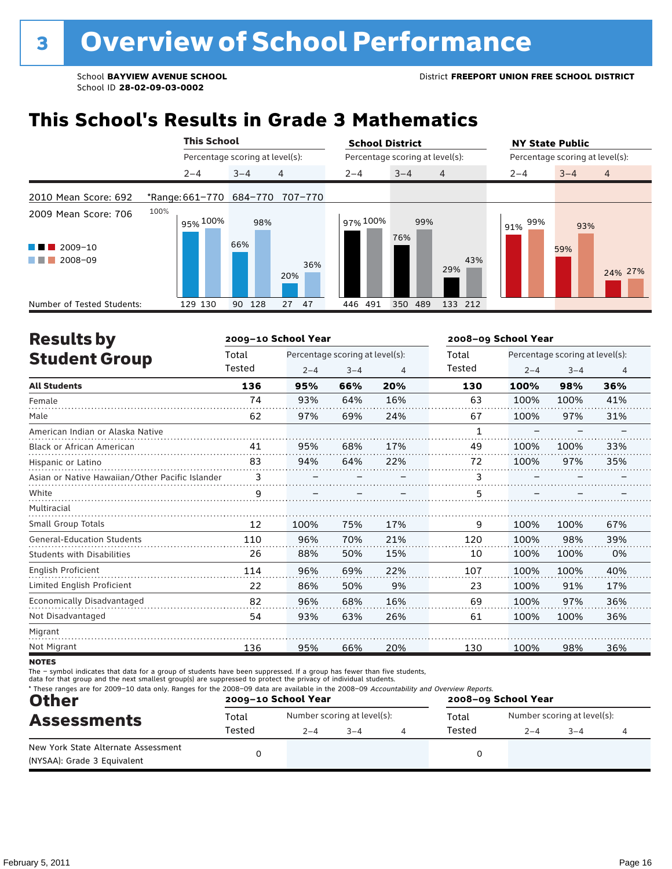### **This School's Results in Grade 3 Mathematics**

|                                                        |      |                                 | <b>This School</b> |                                 |          | <b>School District</b>          |                   | <b>NY State Public</b>          |  |  |
|--------------------------------------------------------|------|---------------------------------|--------------------|---------------------------------|----------|---------------------------------|-------------------|---------------------------------|--|--|
|                                                        |      | Percentage scoring at level(s): |                    |                                 |          | Percentage scoring at level(s): |                   | Percentage scoring at level(s): |  |  |
|                                                        |      | $2 - 4$                         | $3 - 4$            | 4                               | $2 - 4$  | $3 - 4$<br>$\overline{4}$       | $2 - 4$           | $3 - 4$<br>$\overline{4}$       |  |  |
| 2010 Mean Score: 692                                   |      |                                 |                    | *Range: 661-770 684-770 707-770 |          |                                 |                   |                                 |  |  |
| 2009 Mean Score: 706<br>$2009 - 10$<br>a ka<br>2008-09 | 100% | 95% 100%                        | 98%<br>66%         | 36%<br>20%                      | 97% 100% | 99%<br>76%<br>29%               | 99%<br>91%<br>43% | 93%<br>59%<br>24% 27%           |  |  |
| Number of Tested Students:                             |      | 129 130                         | 128<br>90          | 27<br>-47                       | 446 491  | 350<br>489                      | 133 212           |                                 |  |  |

| <b>Results by</b>                               |        | 2009-10 School Year |                                 |     | 2008-09 School Year |         |                                 |     |
|-------------------------------------------------|--------|---------------------|---------------------------------|-----|---------------------|---------|---------------------------------|-----|
| <b>Student Group</b>                            | Total  |                     | Percentage scoring at level(s): |     | Total               |         | Percentage scoring at level(s): |     |
|                                                 | Tested | $2 - 4$             | $3 - 4$                         | 4   | Tested              | $2 - 4$ | $3 - 4$                         | 4   |
| <b>All Students</b>                             | 136    | 95%                 | 66%                             | 20% | 130                 | 100%    | 98%                             | 36% |
| Female                                          | 74     | 93%                 | 64%                             | 16% | 63                  | 100%    | 100%                            | 41% |
| Male                                            | 62     | 97%                 | 69%                             | 24% | 67                  | 100%    | 97%                             | 31% |
| American Indian or Alaska Native                |        |                     |                                 |     | 1                   |         |                                 |     |
| <b>Black or African American</b>                | 41     | 95%                 | 68%                             | 17% | 49                  | 100%    | 100%                            | 33% |
| Hispanic or Latino                              | 83     | 94%                 | 64%                             | 22% | 72                  | 100%    | 97%                             | 35% |
| Asian or Native Hawaiian/Other Pacific Islander | 3      |                     |                                 |     | 3                   |         |                                 |     |
| White                                           | 9      |                     |                                 |     | 5                   |         |                                 |     |
| Multiracial                                     |        |                     |                                 |     |                     |         |                                 |     |
| <b>Small Group Totals</b>                       | 12     | 100%                | 75%                             | 17% | 9                   | 100%    | 100%                            | 67% |
| <b>General-Education Students</b>               | 110    | 96%                 | 70%                             | 21% | 120                 | 100%    | 98%                             | 39% |
| <b>Students with Disabilities</b>               | 26     | 88%                 | 50%                             | 15% | 10                  | 100%    | 100%                            | 0%  |
| <b>English Proficient</b>                       | 114    | 96%                 | 69%                             | 22% | 107                 | 100%    | 100%                            | 40% |
| Limited English Proficient                      | 22     | 86%                 | 50%                             | 9%  | 23                  | 100%    | 91%                             | 17% |
| Economically Disadvantaged                      | 82     | 96%                 | 68%                             | 16% | 69                  | 100%    | 97%                             | 36% |
| Not Disadvantaged                               | 54     | 93%                 | 63%                             | 26% | 61                  | 100%    | 100%                            | 36% |
| Migrant                                         |        |                     |                                 |     |                     |         |                                 |     |
| Not Migrant                                     | 136    | 95%                 | 66%                             | 20% | 130                 | 100%    | 98%                             | 36% |

**NOTES** 

The – symbol indicates that data for a group of students have been suppressed. If a group has fewer than five students,<br>data for that group and the next smallest group(s) are suppressed to protect the privacy of individual

| <b>Other</b>                                                       |        | 2009-10 School Year |                             | 2008-09 School Year |        |                             |        |  |
|--------------------------------------------------------------------|--------|---------------------|-----------------------------|---------------------|--------|-----------------------------|--------|--|
| <b>Assessments</b>                                                 | Total  |                     | Number scoring at level(s): |                     | Total  | Number scoring at level(s): |        |  |
|                                                                    | Tested | $2 - 4$             | $3 - 4$                     |                     | Tested | $2 - 4$                     | $-3-4$ |  |
| New York State Alternate Assessment<br>(NYSAA): Grade 3 Equivalent |        |                     |                             |                     |        |                             |        |  |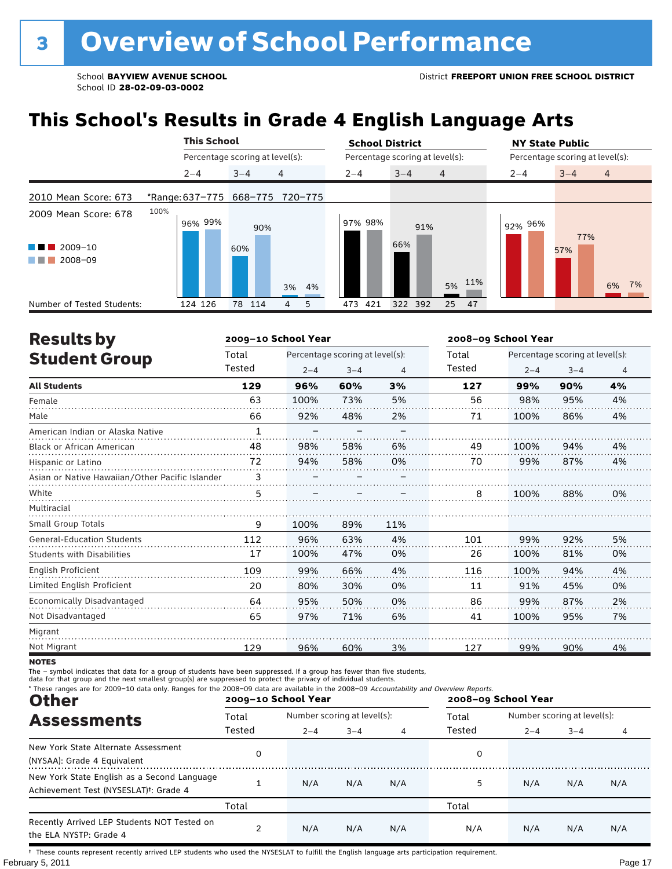## **This School's Results in Grade 4 English Language Arts**

|                                            | <b>This School</b> |                                 | <b>School District</b>               | <b>NY State Public</b>               |
|--------------------------------------------|--------------------|---------------------------------|--------------------------------------|--------------------------------------|
|                                            |                    | Percentage scoring at level(s): | Percentage scoring at level(s):      | Percentage scoring at level(s):      |
|                                            | $2 - 4$            | 4<br>$3 - 4$                    | $3 - 4$<br>$2 - 4$<br>$\overline{4}$ | $3 - 4$<br>$\overline{4}$<br>$2 - 4$ |
| 2010 Mean Score: 673                       |                    | *Range: 637-775 668-775 720-775 |                                      |                                      |
| 2009 Mean Score: 678                       | 100%<br>96% 99%    | 90%                             | 97% 98%<br>91%                       | 92% 96%<br>77%                       |
| $2009 - 10$<br>a ka<br>2008-09<br>a sa Tan |                    | 60%<br>3% 4%                    | 66%<br>5% 11%                        | 57%<br>6% 7%                         |
| Number of Tested Students:                 | 124 126            | 78 114<br>5<br>$\overline{4}$   | 25 47<br>473<br>421<br>322 392       |                                      |

| <b>Results by</b>                               |              | 2009-10 School Year             |         |     | 2008-09 School Year |                                 |         |                |
|-------------------------------------------------|--------------|---------------------------------|---------|-----|---------------------|---------------------------------|---------|----------------|
| <b>Student Group</b>                            | Total        | Percentage scoring at level(s): |         |     | Total               | Percentage scoring at level(s): |         |                |
|                                                 | Tested       | $2 - 4$                         | $3 - 4$ | 4   | Tested              | $2 - 4$                         | $3 - 4$ | $\overline{4}$ |
| <b>All Students</b>                             | 129          | 96%                             | 60%     | 3%  | 127                 | 99%                             | 90%     | 4%             |
| Female                                          | 63           | 100%                            | 73%     | 5%  | 56                  | 98%                             | 95%     | 4%             |
| Male                                            | 66           | 92%                             | 48%     | 2%  | 71                  | 100%                            | 86%     | 4%             |
| American Indian or Alaska Native                | $\mathbf{1}$ |                                 |         |     |                     |                                 |         |                |
| Black or African American                       | 48           | 98%                             | 58%     | 6%  | 49                  | 100%                            | 94%     | 4%             |
| Hispanic or Latino                              | 72           | 94%                             | 58%     | 0%  | 70                  | 99%                             | 87%     | 4%             |
| Asian or Native Hawaiian/Other Pacific Islander | 3            |                                 |         |     |                     |                                 |         |                |
| White                                           | 5            |                                 |         |     | 8                   | 100%                            | 88%     | 0%             |
| Multiracial                                     |              |                                 |         |     |                     |                                 |         |                |
| Small Group Totals                              | 9            | 100%                            | 89%     | 11% |                     |                                 |         |                |
| <b>General-Education Students</b>               | 112          | 96%                             | 63%     | 4%  | 101                 | 99%                             | 92%     | 5%             |
| <b>Students with Disabilities</b>               | 17           | 100%                            | 47%     | 0%  | 26                  | 100%                            | 81%     | 0%             |
| <b>English Proficient</b>                       | 109          | 99%                             | 66%     | 4%  | 116                 | 100%                            | 94%     | 4%             |
| Limited English Proficient                      | 20           | 80%                             | 30%     | 0%  | 11                  | 91%                             | 45%     | 0%             |
| Economically Disadvantaged                      | 64           | 95%                             | 50%     | 0%  | 86                  | 99%                             | 87%     | 2%             |
| Not Disadvantaged                               | 65           | 97%                             | 71%     | 6%  | 41                  | 100%                            | 95%     | 7%             |
| Migrant                                         |              |                                 |         |     |                     |                                 |         |                |
| Not Migrant                                     | 129          | 96%                             | 60%     | 3%  | 127                 | 99%                             | 90%     | 4%             |

**NOTES** 

The – symbol indicates that data for a group of students have been suppressed. If a group has fewer than five students,<br>data for that group and the next smallest group(s) are suppressed to protect the privacy of individual

| * These ranges are for 2009-10 data only. Ranges for the 2008-09 data are available in the 2008-09 Accountability and Overview Reports.<br><b>Other</b> |        | 2009-10 School Year |                             |     | 2008-09 School Year |                             |         |     |  |
|---------------------------------------------------------------------------------------------------------------------------------------------------------|--------|---------------------|-----------------------------|-----|---------------------|-----------------------------|---------|-----|--|
| <b>Assessments</b>                                                                                                                                      | Total  |                     | Number scoring at level(s): |     |                     | Number scoring at level(s): |         |     |  |
|                                                                                                                                                         | Tested | $2 - 4$             | $3 - 4$                     | 4   | Tested              | $2 - 4$                     | $3 - 4$ | 4   |  |
| New York State Alternate Assessment<br>(NYSAA): Grade 4 Equivalent                                                                                      |        |                     |                             |     | 0                   |                             |         |     |  |
| New York State English as a Second Language<br>Achievement Test (NYSESLAT) <sup>†</sup> : Grade 4                                                       |        | N/A                 | N/A                         | N/A | 5                   | N/A                         | N/A     | N/A |  |
|                                                                                                                                                         | Total  |                     |                             |     | Total               |                             |         |     |  |
| Recently Arrived LEP Students NOT Tested on<br>the ELA NYSTP: Grade 4                                                                                   |        | N/A                 | N/A                         | N/A | N/A                 | N/A                         | N/A     | N/A |  |

February 5, 2011 **Page 17** † These counts represent recently arrived LEP students who used the NYSESLAT to fulfill the English language arts participation requirement.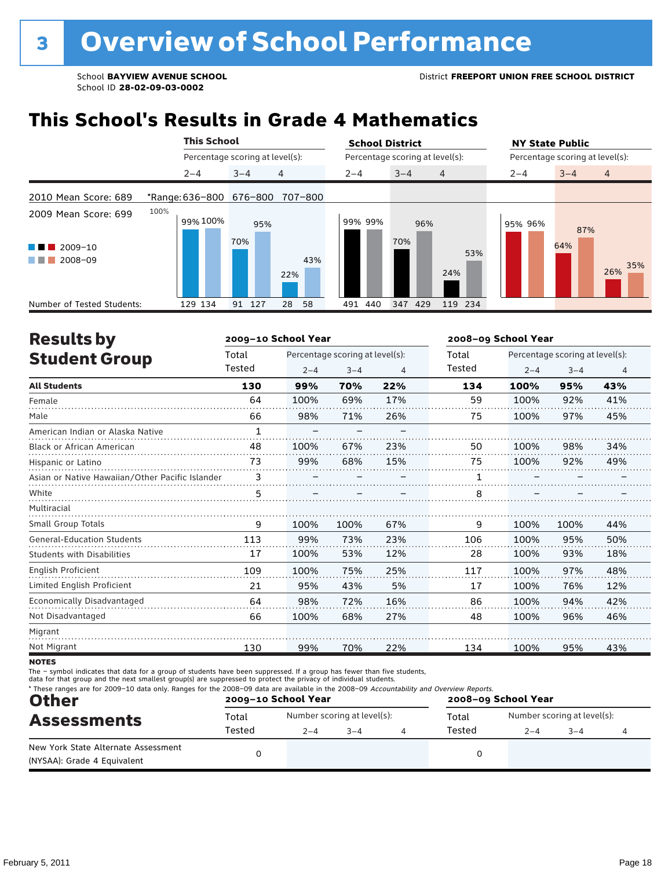### **This School's Results in Grade 4 Mathematics**

|                                                                |      | <b>This School</b> |                                 |            | <b>School District</b> |                                 | <b>NY State Public</b>          |                   |
|----------------------------------------------------------------|------|--------------------|---------------------------------|------------|------------------------|---------------------------------|---------------------------------|-------------------|
|                                                                |      |                    | Percentage scoring at level(s): |            |                        | Percentage scoring at level(s): | Percentage scoring at level(s): |                   |
|                                                                |      | $2 - 4$            | $3 - 4$                         | 4          | $2 - 4$                | $3 - 4$<br>$\overline{4}$       | $3 - 4$<br>$2 - 4$              | $\overline{4}$    |
| 2010 Mean Score: 689                                           |      | *Range: 636-800    | 676-800                         | 707-800    |                        |                                 |                                 |                   |
| 2009 Mean Score: 699<br>2009-10<br>a ka<br>2008-09<br>a sa Tan | 100% | 99% 100%           | 95%<br>70%                      | 43%<br>22% | 99% 99%                | 96%<br>70%<br>53%<br>24%        | 95% 96%<br>64%                  | 87%<br>35%<br>26% |
| Number of Tested Students:                                     |      | 129 134            | 127<br>91                       | 58<br>28   | 440<br>491             | 429<br>119 234<br>347           |                                 |                   |

| <b>Results by</b>                               |              | 2009-10 School Year             |         |     | 2008-09 School Year |                                 |         |                |  |
|-------------------------------------------------|--------------|---------------------------------|---------|-----|---------------------|---------------------------------|---------|----------------|--|
| <b>Student Group</b>                            | Total        | Percentage scoring at level(s): |         |     | Total               | Percentage scoring at level(s): |         |                |  |
|                                                 | Tested       | $2 - 4$                         | $3 - 4$ | 4   | Tested              | $2 - 4$                         | $3 - 4$ | $\overline{4}$ |  |
| <b>All Students</b>                             | 130          | 99%                             | 70%     | 22% | 134                 | 100%                            | 95%     | 43%            |  |
| Female                                          | 64           | 100%                            | 69%     | 17% | 59                  | 100%                            | 92%     | 41%            |  |
| Male                                            | 66           | 98%                             | 71%     | 26% | 75                  | 100%                            | 97%     | 45%            |  |
| American Indian or Alaska Native                | $\mathbf{1}$ |                                 |         |     |                     |                                 |         |                |  |
| Black or African American                       | 48           | 100%                            | 67%     | 23% | 50                  | 100%                            | 98%     | 34%            |  |
| Hispanic or Latino                              | 73           | 99%                             | 68%     | 15% | 75                  | 100%                            | 92%     | 49%            |  |
| Asian or Native Hawaiian/Other Pacific Islander | 3            |                                 |         |     |                     |                                 |         |                |  |
| White                                           | 5            |                                 |         |     | 8                   |                                 |         |                |  |
| Multiracial                                     |              |                                 |         |     |                     |                                 |         |                |  |
| <b>Small Group Totals</b>                       | 9            | 100%                            | 100%    | 67% | 9                   | 100%                            | 100%    | 44%            |  |
| <b>General-Education Students</b>               | 113          | 99%                             | 73%     | 23% | 106                 | 100%                            | 95%     | 50%            |  |
| <b>Students with Disabilities</b>               | 17           | 100%                            | 53%     | 12% | 28                  | 100%                            | 93%     | 18%            |  |
| <b>English Proficient</b>                       | 109          | 100%                            | 75%     | 25% | 117                 | 100%                            | 97%     | 48%            |  |
| Limited English Proficient                      | 21           | 95%                             | 43%     | 5%  | 17                  | 100%                            | 76%     | 12%            |  |
| Economically Disadvantaged                      | 64           | 98%                             | 72%     | 16% | 86                  | 100%                            | 94%     | 42%            |  |
| Not Disadvantaged                               | 66           | 100%                            | 68%     | 27% | 48                  | 100%                            | 96%     | 46%            |  |
| Migrant                                         |              |                                 |         |     |                     |                                 |         |                |  |
| Not Migrant                                     | 130          | 99%                             | 70%     | 22% | 134                 | 100%                            | 95%     | 43%            |  |
|                                                 |              |                                 |         |     |                     |                                 |         |                |  |

**NOTES** 

The – symbol indicates that data for a group of students have been suppressed. If a group has fewer than five students,

data for that group and the next smallest group(s) are suppressed to protect the privacy of individual students.

| * These ranges are for 2009-10 data only. Ranges for the 2008-09 data are available in the 2008-09 Accountability and Overview Reports.<br><b>Other</b> |                 | 2009-10 School Year |                                        | 2008-09 School Year |                 |                                        |         |  |
|---------------------------------------------------------------------------------------------------------------------------------------------------------|-----------------|---------------------|----------------------------------------|---------------------|-----------------|----------------------------------------|---------|--|
| <b>Assessments</b>                                                                                                                                      | Total<br>Tested | $2 - 4$             | Number scoring at level(s):<br>$3 - 4$ |                     | Total<br>Tested | Number scoring at level(s):<br>$2 - 4$ | $3 - 4$ |  |
| New York State Alternate Assessment<br>(NYSAA): Grade 4 Equivalent                                                                                      |                 |                     |                                        |                     |                 |                                        |         |  |